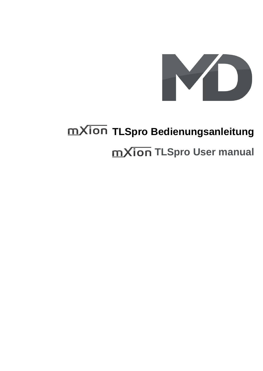

# **TLSpro Bedienungsanleitung mXion TLSpro User manual**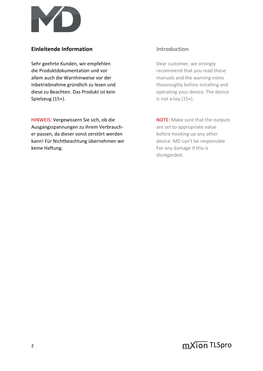

# **Einleitende Information Introduction**

Sehr geehrte Kunden, wir empfehlen Dear customer, we strongly die Produktdokumentation und vor recommend that you read these allem auch die Warnhinweise vor der manuals and the warning notes Inbetriebnahme gründlich zu lesen und thouroughly before installing and diese zu Beachten. Das Produkt ist kein operating your device. The device Spielzeug (15+). Spielzeug (15+).

HINWEIS: Vergewissern Sie sich, ob die Note and NOTE: Make sure that the outputs Ausgangsspannungen zu ihrem Verbrauch- are set to appropriate value er passen, da dieser sonst zerstört werden before hooking up any other kann! Für Nichtbeachtung übernehmen wir device. MD can't be responsible keine Haftung. The same state of the set of the set of the set of the set of the set of the set of the set of the set of the set of the set of the set of the set of the set of the set of the set of the set of the set of th

disregarded.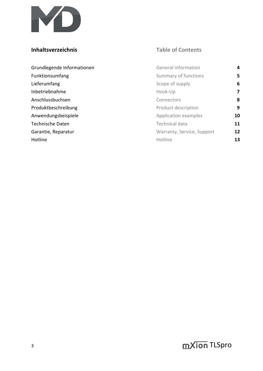

# **Inhaltsverzeichnis Table of Contents**

| Grundlegende Informationen | <b>General information</b> | 4  |
|----------------------------|----------------------------|----|
| Funktionsumfang            | Summary of functions       | 5  |
| Lieferumfang               | Scope of supply            | 6  |
| Inbetriebnahme             | Hook-Up                    | 7  |
| Anschlussbuchsen           | Connectors                 | 8  |
| Produktbeschreibung        | Product description        | 9  |
| Anwendungsbeispiele        | Application examples       | 10 |
| <b>Technische Daten</b>    | Technical data             | 11 |
| Garantie, Reparatur        | Warranty, Service, Support | 12 |
| Hotline                    | Hotline                    | 13 |

 $\sum_{i=1}^{3}$  and  $\sum_{i=1}^{3}$  and  $\sum_{i=1}^{3}$  and  $\sum_{i=1}^{3}$  and  $\sum_{i=1}^{3}$  and  $\sum_{i=1}^{3}$  and  $\sum_{i=1}^{3}$  and  $\sum_{i=1}^{3}$  and  $\sum_{i=1}^{3}$  and  $\sum_{i=1}^{3}$  and  $\sum_{i=1}^{3}$  and  $\sum_{i=1}^{3}$  and  $\sum_{i=1}^{3}$  and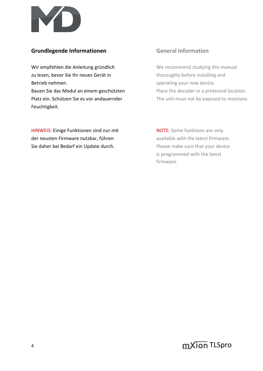

# **Grundlegende Informationen General information**

Wir empfehlen die Anleitung gründlich We recommend studying this manual zu lesen, bevor Sie Ihr neues Gerät in thoroughly before installing and Betrieb nehmen. **Example 2018** operating your new device.

Bauen Sie das Modul an einem geschützten Place the decoder in a protected location. Platz ein. Schützen Sie es vor andauernder The unit must not be exposed to moisture. Feuchtigkeit.

HINWEIS: Einige Funktionen sind nur mit NOTE: Some funktions are only der neusten Firmware nutzbar, führen aussischen available with the latest firmware. Sie daher bei Bedarf ein Update durch. Please make sure that your device

is programmed with the latest firmware.

4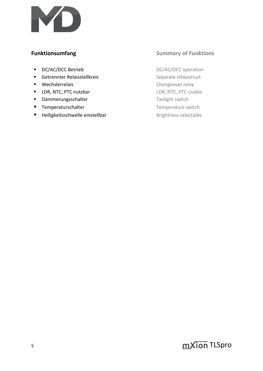

- DC/AC/DCC Betrieb DC/AC/DCC operation
- Getrennter Relaisstellkreis Separate relaycircuit
- 
- LDR, NTC, PTC nutzbar LDR, NTC, PTC usable
- Dämmerungsschalter Twilight switch
- Temperaturschalter Temperature switch
- Helligkeitsschwelle einstellbar Brightness selectable

# **Funktionsumfang Summary of Funktions**

■ Wechslerrelais and a changeover relay

5 **S** TLSpro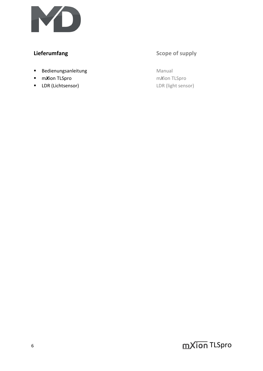

# **Lieferumfang Scope of supply**

- Bedienungsanleitung Manual
- m*X*ion TLSpro m*X*ion TLSpro
- LDR (Lichtsensor) LDR (light sensor)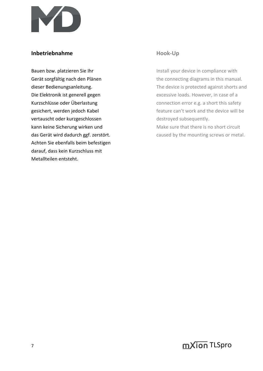

# **Inbetriebnahme Hook-Up**

vertauscht oder kurzgeschlossen destroyed subsequently. kann keine Sicherung wirken und Make sure that there is no short circuit Achten Sie ebenfalls beim befestigen darauf, dass kein Kurzschluss mit Metallteilen entsteht.

Bauen bzw. platzieren Sie Ihr Install your device in compliance with Gerät sorgfältig nach den Plänen the connecting diagrams in this manual. dieser Bedienungsanleitung. The device is protected against shorts and Die Elektronik ist generell gegen excessive loads. However, in case of a Kurzschlüsse oder Überlastung eiter and the connection error e.g. a short this safety gesichert, werden jedoch Kabel **feature can't work and the device will be** feature can't work and the device will be

das Gerät wird dadurch ggf. zerstört. The mounting screws or metal.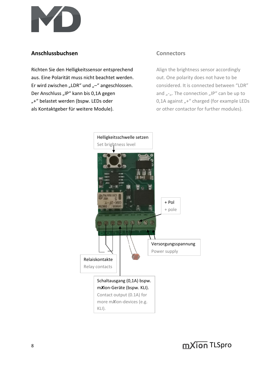

# **Anschlussbuchsen Connectors**

Richten Sie den Helligkeitssensor entsprechend Align the brightness sensor accordingly aus. Eine Polarität muss nicht beachtet werden. out. One polarity does not have to be Er wird zwischen "LDR" und "-" angeschlossen. considered. It is connected between "LDR" Der Anschluss "IP" kann bis 0,1A gegen and  $\mu$ - $\mu$ . The connection  $\mu$ IP" can be up to "+" belastet werden (bspw. LEDs oder 0,1A against "+" charged (for example LEDs als Kontaktgeber für weitere Module). The solution or other contactor for further modules).

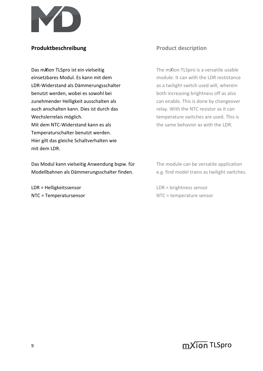

# **Produktbeschreibung Product description**

**Das mXion TLSpro ist ein vielseitig The mXion TLSpro is a versatile usable** einsetzbares Modul. Es kann mit dem motor module. It can with the LDR restistance LDR-Widerstand als Dämmerungsschalter as a twilight switch used will, wherein benutzt werden, wobei es sowohl bei both increasing brightness off as also zunehmender Helligkeit ausschalten als entitled and the can enable. This is done by changeover auch anschalten kann. Dies ist durch das relay. With the NTC resistor as it can Wechslerrelais möglich. This is temperature switches are used. This is Mit dem NTC-Widerstand kann es als the same behavior as with the LDR. Temperaturschalter benutzt werden. Hier gilt das gleiche Schaltverhalten wie mit dem LDR.

Das Modul kann vielseitig Anwendung bspw. für The module can be versatile application Modellbahnen als Dämmerungsschalter finden. e.g. find model trains as twilight switches.

LDR = Helligkeitssensor LDR = brightness sensor

NTC = Temperatursensor NTC = temperature sensor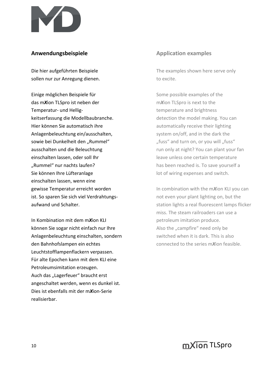

# **Anwendungsbeispiele Anwendungsbeispiele Application examples**

sollen nur zur Anregung dienen. The sollen nur zur Anregung dienen.

Einige möglichen Beispiele für Some possible examples of the das m*X*ion TLSpro ist neben der m*X*ion TLSpro is next to the Temperatur- und Hellig- temperature and brightness keitserfassung die Modellbaubranche. detection the model making. You can Hier können Sie automatisch ihre automatically receive their lighting Anlagenbeleuchtung ein/ausschalten, system on/off, and in the dark the sowie bei Dunkelheit den "Rummel" "fuss" and turn on, or you will "fuss" einschalten lassen, oder soll Ihr leave unless one certain temperature "Rummel" nur nachts laufen? has been reached is. To save yourself a Sie können Ihre Lüfteranlage lot of wiring expenses and switch. einschalten lassen, wenn eine ist. So sparen Sie sich viel Verdrahtungs- not even your plant lighting on, but the

In Kombination mit dem mXion KLI petroleum imitation produce. können Sie sogar nicht einfach nur Ihre Also the "campfire" need only be Anlagenbeleuchtung einschalten, sondern switched when it is dark. This is also den Bahnhofslampen ein echtes **connected to the series mXion feasible.** Leuchtstofflampenflackern verpassen. Für alte Epochen kann mit dem KLI eine Petroleumsimitation erzeugen. Auch das "Lagerfeuer" braucht erst angeschaltet werden, wenn es dunkel ist. Dies ist ebenfalls mit der m*X*ion-Serie realisierbar.

Die hier aufgeführten Beispiele The examples shown here serve only

ausschalten und die Beleuchtung ausschalten und die Beleuchtung run only at night? You can plant your fan

**gewisse Temperatur erreicht worden** In combination with the mXion KLI you can aufwand und Schalter. Station lights a real fluorescent lamps flicker miss. The steam railroaders can use a

 $10$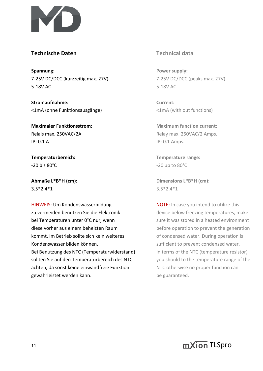

# **Technische Daten Technical data**

**Spannung: Power supply: Power supply:** 7-25V DC/DCC (kurzzeitig max. 27V) 7-25V DC/DCC (peaks max. 27V) 5-18V AC 5-18V AC

**Stromaufnahme: Current:** <1mA (ohne Funktionsausgänge) <1mA (with out functions)

**IP: 0.1 A** IP: 0.1 Amps.

 $-20$  bis  $80^{\circ}$ C  $-20$  up to  $80^{\circ}$ C

 $3.5^*2.4^*1$  3.5<sup>\*</sup>2.4<sup>\*</sup>1

HINWEIS: Um Kondenswasserbildung NOTE: In case you intend to utilize this zu vermeiden benutzen Sie die Elektronik deuter below freezing temperatures, make bei Temperaturen unter 0°C nur, wenn sure it was stored in a heated environment diese vorher aus einem beheizten Raum beheheizten before operation to prevent the generation kommt. Im Betrieb sollte sich kein weiteres of condensed water. During operation is Kondenswasser bilden können. Sufficient to prevent condensed water. Bei Benutzung des NTC (Temperaturwiderstand) In terms of the NTC (temperature resistor) sollten Sie auf den Temperaturbereich des NTC vou should to the temperature range of the achten, da sonst keine einwandfreie Funktion NTC otherwise no proper function can gewährleistet werden kann. **be guaranteed.** be guaranteed.

**Maximaler Funktionsstrom: Maximum function current:** Relais max. 250VAC/2A Relay max. 250VAC/2 Amps.

**Temperaturbereich: Temperature range:**

**Abmaße L\*B\*H (cm): Dimensions L\*B\*H (cm):**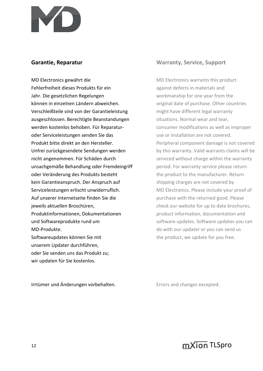

MD Electronics gewährt die MD Electronics warrants this product Fehlerfreiheit dieses Produkts für ein aus against defects in materials and Jahr. Die gesetzlichen Regelungen workmanship for one year from the können in einzelnen Ländern abweichen. **Ein alle als eine alle als ein** original date of purchase. Other countries Verschleißteile sind von der Garantieleistung might have different legal warranty ausgeschlossen. Berechtigte Beanstandungen situations. Normal wear and tear, werden kostenlos behoben. Für Reparatur- consumer modifications as well as improper oder Serviceleistungen senden Sie das van die eerste van die staat daar van die soos van die soos van die soos<br>Die van die van die soos van die soos van die soos van die selfs van die soos van die soos van die soos van di nicht angenommen. Für Schäden durch serviced without charge within the warranty unsachgemäße Behandlung oder Fremdeingriff eine period. For warranty service please return oder Veränderung des Produkts besteht the product to the manufacturer. Return kein Garantieanspruch. Der Anspruch auf shipping charges are not covered by Serviceleistungen erlischt unwiderruflich. MD Electronics. Please include your proof of Auf unserer Internetseite finden Sie die purchase with the returned good. Please **jeweils aktuellen Broschüren.** Check our website for up to date brochures, Produktinformationen, Dokumentationen product information, documentation and und Softwareprodukte rund um example and software updates. Software updates you can MD-Produkte. **MD-Produkte.** MD-Produkte. Softwareupdates können Sie mit the product, we update for you free. unserem Updater durchführen, oder Sie senden uns das Produkt zu; wir updaten für Sie kostenlos.

Irrtümer und Änderungen vorbehalten. The Errors and changes excepted.

# **Garantie, Reparatur Warranty, Service, Support**

Produkt bitte direkt an den Hersteller. Peripheral component damage is not covered Unfrei zurückgesendete Sendungen werden by this warranty. Valid warrants claims will be

 $12$  mXion TLSpro